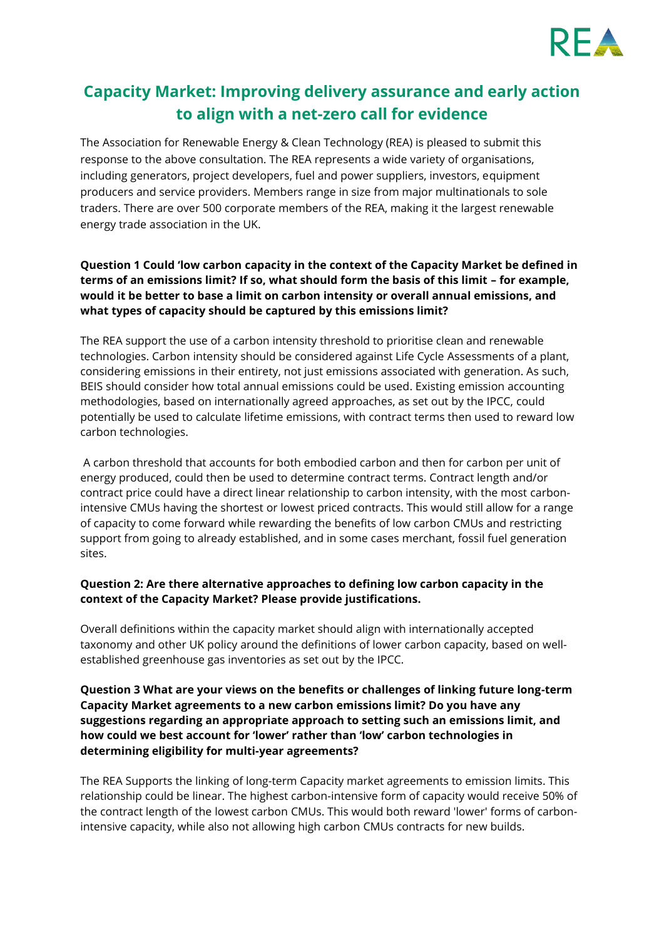

# **Capacity Market: Improving delivery assurance and early action to align with a net-zero call for evidence**

The Association for Renewable Energy & Clean Technology (REA) is pleased to submit this response to the above consultation. The REA represents a wide variety of organisations, including generators, project developers, fuel and power suppliers, investors, equipment producers and service providers. Members range in size from major multinationals to sole traders. There are over 500 corporate members of the REA, making it the largest renewable energy trade association in the UK.

# **Question 1 Could 'low carbon capacity in the context of the Capacity Market be defined in terms of an emissions limit? If so, what should form the basis of this limit – for example, would it be better to base a limit on carbon intensity or overall annual emissions, and what types of capacity should be captured by this emissions limit?**

The REA support the use of a carbon intensity threshold to prioritise clean and renewable technologies. Carbon intensity should be considered against Life Cycle Assessments of a plant, considering emissions in their entirety, not just emissions associated with generation. As such, BEIS should consider how total annual emissions could be used. Existing emission accounting methodologies, based on internationally agreed approaches, as set out by the IPCC, could potentially be used to calculate lifetime emissions, with contract terms then used to reward low carbon technologies.

A carbon threshold that accounts for both embodied carbon and then for carbon per unit of energy produced, could then be used to determine contract terms. Contract length and/or contract price could have a direct linear relationship to carbon intensity, with the most carbonintensive CMUs having the shortest or lowest priced contracts. This would still allow for a range of capacity to come forward while rewarding the benefits of low carbon CMUs and restricting support from going to already established, and in some cases merchant, fossil fuel generation sites.

# **Question 2: Are there alternative approaches to defining low carbon capacity in the context of the Capacity Market? Please provide justifications.**

Overall definitions within the capacity market should align with internationally accepted taxonomy and other UK policy around the definitions of lower carbon capacity, based on wellestablished greenhouse gas inventories as set out by the IPCC.

# **Question 3 What are your views on the benefits or challenges of linking future long-term Capacity Market agreements to a new carbon emissions limit? Do you have any suggestions regarding an appropriate approach to setting such an emissions limit, and how could we best account for 'lower' rather than 'low' carbon technologies in determining eligibility for multi-year agreements?**

The REA Supports the linking of long-term Capacity market agreements to emission limits. This relationship could be linear. The highest carbon-intensive form of capacity would receive 50% of the contract length of the lowest carbon CMUs. This would both reward 'lower' forms of carbonintensive capacity, while also not allowing high carbon CMUs contracts for new builds.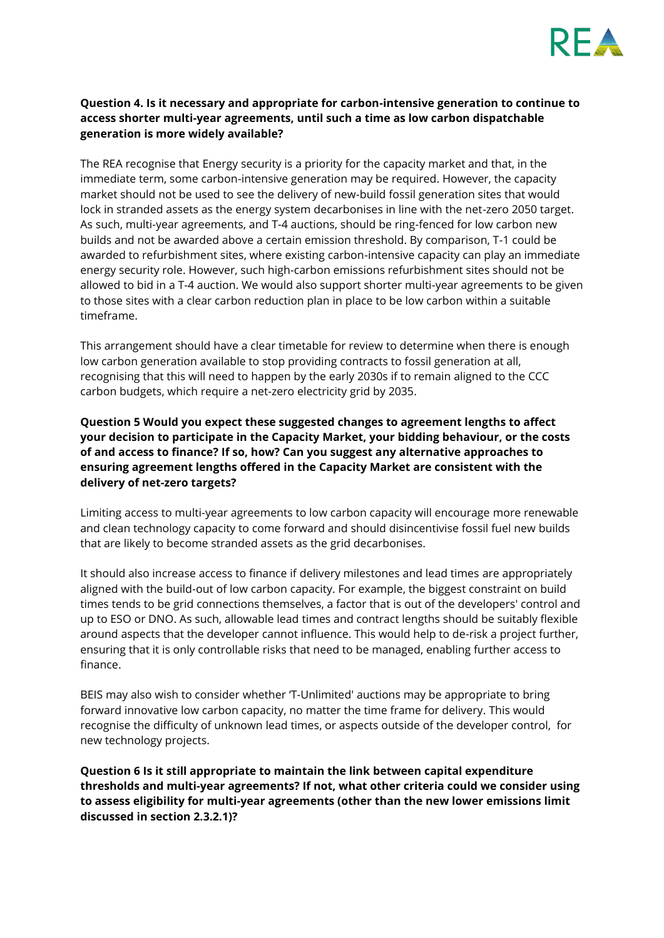

#### **Question 4. Is it necessary and appropriate for carbon-intensive generation to continue to access shorter multi-year agreements, until such a time as low carbon dispatchable generation is more widely available?**

The REA recognise that Energy security is a priority for the capacity market and that, in the immediate term, some carbon-intensive generation may be required. However, the capacity market should not be used to see the delivery of new-build fossil generation sites that would lock in stranded assets as the energy system decarbonises in line with the net-zero 2050 target. As such, multi-year agreements, and T-4 auctions, should be ring-fenced for low carbon new builds and not be awarded above a certain emission threshold. By comparison, T-1 could be awarded to refurbishment sites, where existing carbon-intensive capacity can play an immediate energy security role. However, such high-carbon emissions refurbishment sites should not be allowed to bid in a T-4 auction. We would also support shorter multi-year agreements to be given to those sites with a clear carbon reduction plan in place to be low carbon within a suitable timeframe.

This arrangement should have a clear timetable for review to determine when there is enough low carbon generation available to stop providing contracts to fossil generation at all, recognising that this will need to happen by the early 2030s if to remain aligned to the CCC carbon budgets, which require a net-zero electricity grid by 2035.

# **Question 5 Would you expect these suggested changes to agreement lengths to affect your decision to participate in the Capacity Market, your bidding behaviour, or the costs of and access to finance? If so, how? Can you suggest any alternative approaches to ensuring agreement lengths offered in the Capacity Market are consistent with the delivery of net-zero targets?**

Limiting access to multi-year agreements to low carbon capacity will encourage more renewable and clean technology capacity to come forward and should disincentivise fossil fuel new builds that are likely to become stranded assets as the grid decarbonises.

It should also increase access to finance if delivery milestones and lead times are appropriately aligned with the build-out of low carbon capacity. For example, the biggest constraint on build times tends to be grid connections themselves, a factor that is out of the developers' control and up to ESO or DNO. As such, allowable lead times and contract lengths should be suitably flexible around aspects that the developer cannot influence. This would help to de-risk a project further, ensuring that it is only controllable risks that need to be managed, enabling further access to finance.

BEIS may also wish to consider whether 'T-Unlimited' auctions may be appropriate to bring forward innovative low carbon capacity, no matter the time frame for delivery. This would recognise the difficulty of unknown lead times, or aspects outside of the developer control, for new technology projects.

**Question 6 Is it still appropriate to maintain the link between capital expenditure thresholds and multi-year agreements? If not, what other criteria could we consider using to assess eligibility for multi-year agreements (other than the new lower emissions limit discussed in section 2.3.2.1)?**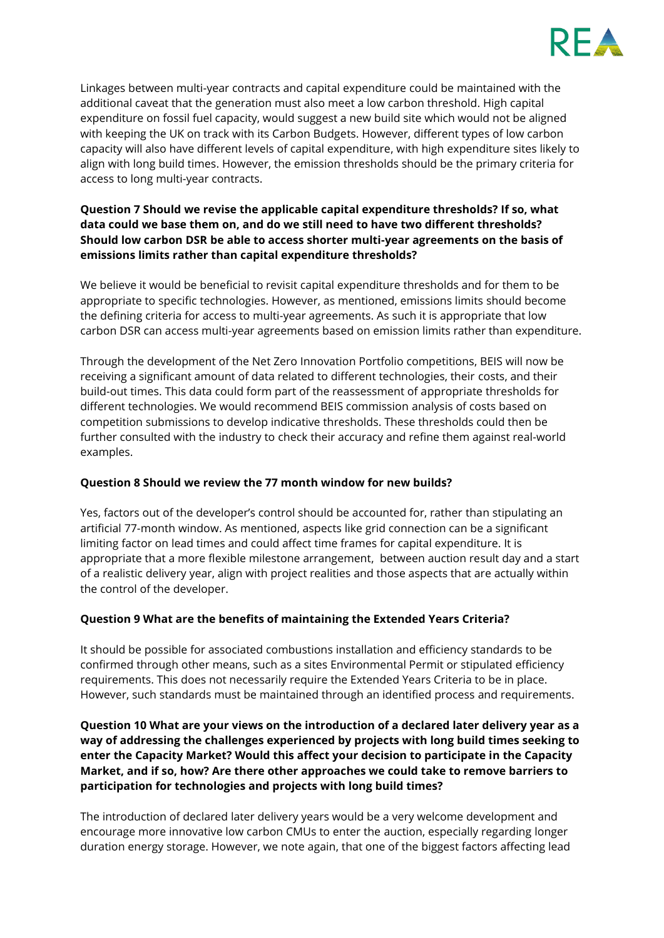

Linkages between multi-year contracts and capital expenditure could be maintained with the additional caveat that the generation must also meet a low carbon threshold. High capital expenditure on fossil fuel capacity, would suggest a new build site which would not be aligned with keeping the UK on track with its Carbon Budgets. However, different types of low carbon capacity will also have different levels of capital expenditure, with high expenditure sites likely to align with long build times. However, the emission thresholds should be the primary criteria for access to long multi-year contracts.

# **Question 7 Should we revise the applicable capital expenditure thresholds? If so, what data could we base them on, and do we still need to have two different thresholds? Should low carbon DSR be able to access shorter multi-year agreements on the basis of emissions limits rather than capital expenditure thresholds?**

We believe it would be beneficial to revisit capital expenditure thresholds and for them to be appropriate to specific technologies. However, as mentioned, emissions limits should become the defining criteria for access to multi-year agreements. As such it is appropriate that low carbon DSR can access multi-year agreements based on emission limits rather than expenditure.

Through the development of the Net Zero Innovation Portfolio competitions, BEIS will now be receiving a significant amount of data related to different technologies, their costs, and their build-out times. This data could form part of the reassessment of appropriate thresholds for different technologies. We would recommend BEIS commission analysis of costs based on competition submissions to develop indicative thresholds. These thresholds could then be further consulted with the industry to check their accuracy and refine them against real-world examples.

#### **Question 8 Should we review the 77 month window for new builds?**

Yes, factors out of the developer's control should be accounted for, rather than stipulating an artificial 77-month window. As mentioned, aspects like grid connection can be a significant limiting factor on lead times and could affect time frames for capital expenditure. It is appropriate that a more flexible milestone arrangement, between auction result day and a start of a realistic delivery year, align with project realities and those aspects that are actually within the control of the developer.

# **Question 9 What are the benefits of maintaining the Extended Years Criteria?**

It should be possible for associated combustions installation and efficiency standards to be confirmed through other means, such as a sites Environmental Permit or stipulated efficiency requirements. This does not necessarily require the Extended Years Criteria to be in place. However, such standards must be maintained through an identified process and requirements.

**Question 10 What are your views on the introduction of a declared later delivery year as a way of addressing the challenges experienced by projects with long build times seeking to enter the Capacity Market? Would this affect your decision to participate in the Capacity Market, and if so, how? Are there other approaches we could take to remove barriers to participation for technologies and projects with long build times?** 

The introduction of declared later delivery years would be a very welcome development and encourage more innovative low carbon CMUs to enter the auction, especially regarding longer duration energy storage. However, we note again, that one of the biggest factors affecting lead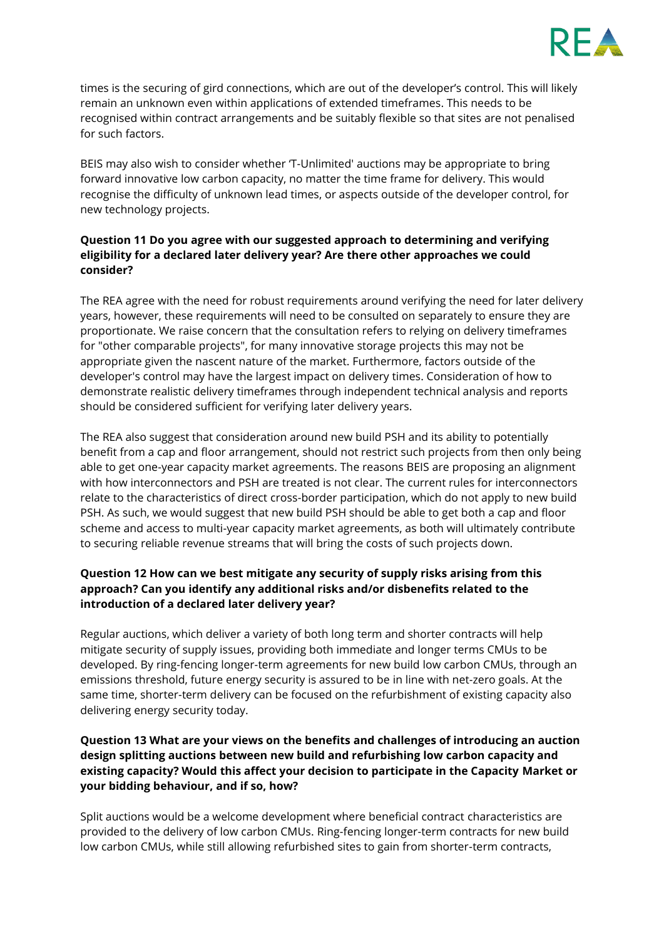

times is the securing of gird connections, which are out of the developer's control. This will likely remain an unknown even within applications of extended timeframes. This needs to be recognised within contract arrangements and be suitably flexible so that sites are not penalised for such factors.

BEIS may also wish to consider whether 'T-Unlimited' auctions may be appropriate to bring forward innovative low carbon capacity, no matter the time frame for delivery. This would recognise the difficulty of unknown lead times, or aspects outside of the developer control, for new technology projects.

# **Question 11 Do you agree with our suggested approach to determining and verifying eligibility for a declared later delivery year? Are there other approaches we could consider?**

The REA agree with the need for robust requirements around verifying the need for later delivery years, however, these requirements will need to be consulted on separately to ensure they are proportionate. We raise concern that the consultation refers to relying on delivery timeframes for "other comparable projects", for many innovative storage projects this may not be appropriate given the nascent nature of the market. Furthermore, factors outside of the developer's control may have the largest impact on delivery times. Consideration of how to demonstrate realistic delivery timeframes through independent technical analysis and reports should be considered sufficient for verifying later delivery years.

The REA also suggest that consideration around new build PSH and its ability to potentially benefit from a cap and floor arrangement, should not restrict such projects from then only being able to get one-year capacity market agreements. The reasons BEIS are proposing an alignment with how interconnectors and PSH are treated is not clear. The current rules for interconnectors relate to the characteristics of direct cross-border participation, which do not apply to new build PSH. As such, we would suggest that new build PSH should be able to get both a cap and floor scheme and access to multi-year capacity market agreements, as both will ultimately contribute to securing reliable revenue streams that will bring the costs of such projects down.

# **Question 12 How can we best mitigate any security of supply risks arising from this approach? Can you identify any additional risks and/or disbenefits related to the introduction of a declared later delivery year?**

Regular auctions, which deliver a variety of both long term and shorter contracts will help mitigate security of supply issues, providing both immediate and longer terms CMUs to be developed. By ring-fencing longer-term agreements for new build low carbon CMUs, through an emissions threshold, future energy security is assured to be in line with net-zero goals. At the same time, shorter-term delivery can be focused on the refurbishment of existing capacity also delivering energy security today.

# **Question 13 What are your views on the benefits and challenges of introducing an auction design splitting auctions between new build and refurbishing low carbon capacity and existing capacity? Would this affect your decision to participate in the Capacity Market or your bidding behaviour, and if so, how?**

Split auctions would be a welcome development where beneficial contract characteristics are provided to the delivery of low carbon CMUs. Ring-fencing longer-term contracts for new build low carbon CMUs, while still allowing refurbished sites to gain from shorter-term contracts,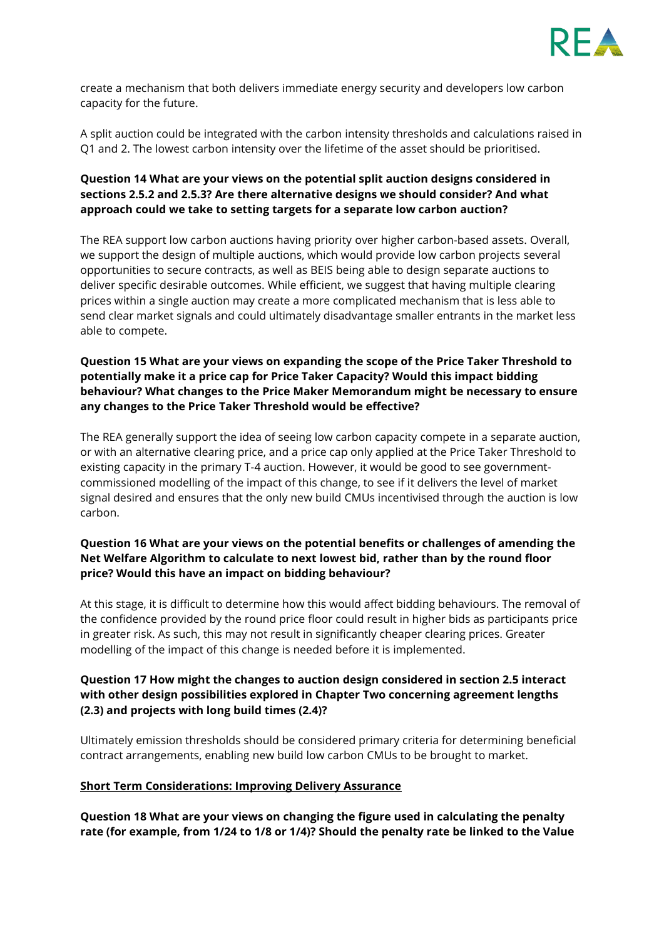

create a mechanism that both delivers immediate energy security and developers low carbon capacity for the future.

A split auction could be integrated with the carbon intensity thresholds and calculations raised in Q1 and 2. The lowest carbon intensity over the lifetime of the asset should be prioritised.

# **Question 14 What are your views on the potential split auction designs considered in sections 2.5.2 and 2.5.3? Are there alternative designs we should consider? And what approach could we take to setting targets for a separate low carbon auction?**

The REA support low carbon auctions having priority over higher carbon-based assets. Overall, we support the design of multiple auctions, which would provide low carbon projects several opportunities to secure contracts, as well as BEIS being able to design separate auctions to deliver specific desirable outcomes. While efficient, we suggest that having multiple clearing prices within a single auction may create a more complicated mechanism that is less able to send clear market signals and could ultimately disadvantage smaller entrants in the market less able to compete.

### **Question 15 What are your views on expanding the scope of the Price Taker Threshold to potentially make it a price cap for Price Taker Capacity? Would this impact bidding behaviour? What changes to the Price Maker Memorandum might be necessary to ensure any changes to the Price Taker Threshold would be effective?**

The REA generally support the idea of seeing low carbon capacity compete in a separate auction, or with an alternative clearing price, and a price cap only applied at the Price Taker Threshold to existing capacity in the primary T-4 auction. However, it would be good to see governmentcommissioned modelling of the impact of this change, to see if it delivers the level of market signal desired and ensures that the only new build CMUs incentivised through the auction is low carbon.

## **Question 16 What are your views on the potential benefits or challenges of amending the Net Welfare Algorithm to calculate to next lowest bid, rather than by the round floor price? Would this have an impact on bidding behaviour?**

At this stage, it is difficult to determine how this would affect bidding behaviours. The removal of the confidence provided by the round price floor could result in higher bids as participants price in greater risk. As such, this may not result in significantly cheaper clearing prices. Greater modelling of the impact of this change is needed before it is implemented.

## **Question 17 How might the changes to auction design considered in section 2.5 interact with other design possibilities explored in Chapter Two concerning agreement lengths (2.3) and projects with long build times (2.4)?**

Ultimately emission thresholds should be considered primary criteria for determining beneficial contract arrangements, enabling new build low carbon CMUs to be brought to market.

#### **Short Term Considerations: Improving Delivery Assurance**

**Question 18 What are your views on changing the figure used in calculating the penalty rate (for example, from 1/24 to 1/8 or 1/4)? Should the penalty rate be linked to the Value**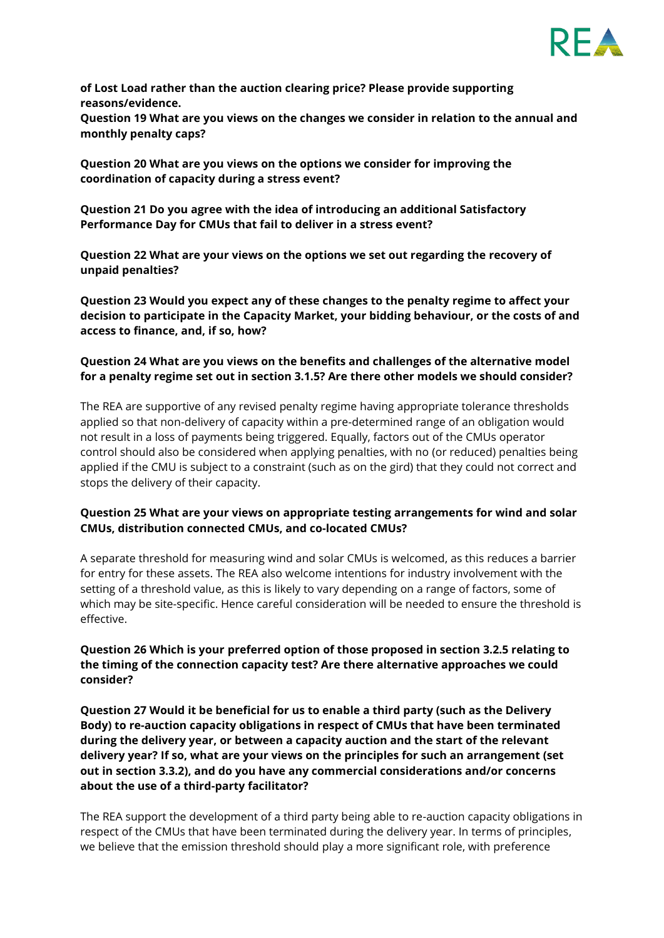

**of Lost Load rather than the auction clearing price? Please provide supporting reasons/evidence.** 

**Question 19 What are you views on the changes we consider in relation to the annual and monthly penalty caps?** 

**Question 20 What are you views on the options we consider for improving the coordination of capacity during a stress event?**

**Question 21 Do you agree with the idea of introducing an additional Satisfactory Performance Day for CMUs that fail to deliver in a stress event?** 

**Question 22 What are your views on the options we set out regarding the recovery of unpaid penalties?** 

**Question 23 Would you expect any of these changes to the penalty regime to affect your decision to participate in the Capacity Market, your bidding behaviour, or the costs of and access to finance, and, if so, how?** 

#### **Question 24 What are you views on the benefits and challenges of the alternative model for a penalty regime set out in section 3.1.5? Are there other models we should consider?**

The REA are supportive of any revised penalty regime having appropriate tolerance thresholds applied so that non-delivery of capacity within a pre-determined range of an obligation would not result in a loss of payments being triggered. Equally, factors out of the CMUs operator control should also be considered when applying penalties, with no (or reduced) penalties being applied if the CMU is subject to a constraint (such as on the gird) that they could not correct and stops the delivery of their capacity.

#### **Question 25 What are your views on appropriate testing arrangements for wind and solar CMUs, distribution connected CMUs, and co-located CMUs?**

A separate threshold for measuring wind and solar CMUs is welcomed, as this reduces a barrier for entry for these assets. The REA also welcome intentions for industry involvement with the setting of a threshold value, as this is likely to vary depending on a range of factors, some of which may be site-specific. Hence careful consideration will be needed to ensure the threshold is effective.

## **Question 26 Which is your preferred option of those proposed in section 3.2.5 relating to the timing of the connection capacity test? Are there alternative approaches we could consider?**

**Question 27 Would it be beneficial for us to enable a third party (such as the Delivery Body) to re-auction capacity obligations in respect of CMUs that have been terminated during the delivery year, or between a capacity auction and the start of the relevant delivery year? If so, what are your views on the principles for such an arrangement (set out in section 3.3.2), and do you have any commercial considerations and/or concerns about the use of a third-party facilitator?** 

The REA support the development of a third party being able to re-auction capacity obligations in respect of the CMUs that have been terminated during the delivery year. In terms of principles, we believe that the emission threshold should play a more significant role, with preference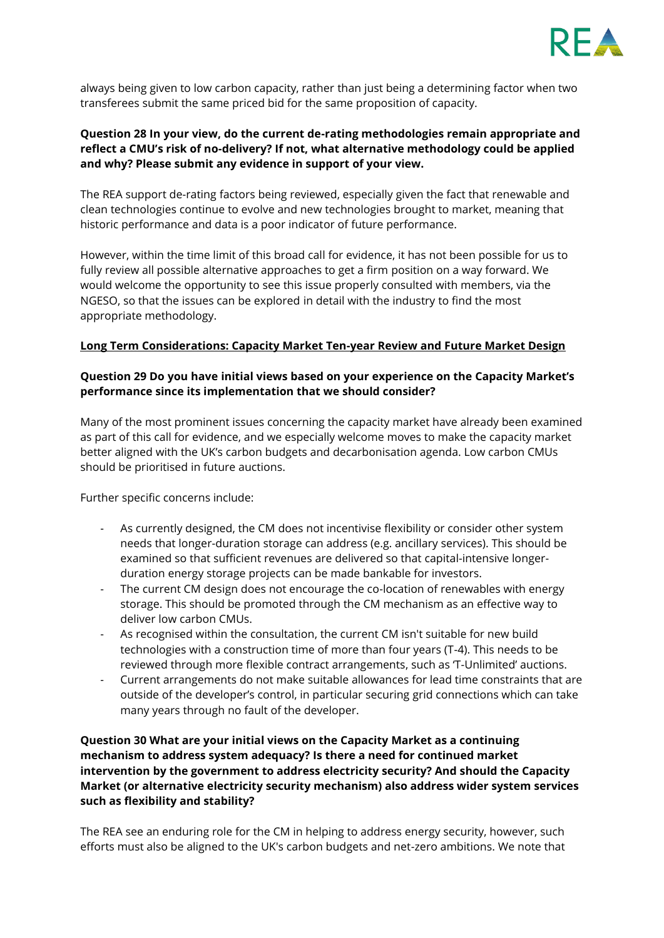

always being given to low carbon capacity, rather than just being a determining factor when two transferees submit the same priced bid for the same proposition of capacity.

#### **Question 28 In your view, do the current de-rating methodologies remain appropriate and reflect a CMU's risk of no-delivery? If not, what alternative methodology could be applied and why? Please submit any evidence in support of your view.**

The REA support de-rating factors being reviewed, especially given the fact that renewable and clean technologies continue to evolve and new technologies brought to market, meaning that historic performance and data is a poor indicator of future performance.

However, within the time limit of this broad call for evidence, it has not been possible for us to fully review all possible alternative approaches to get a firm position on a way forward. We would welcome the opportunity to see this issue properly consulted with members, via the NGESO, so that the issues can be explored in detail with the industry to find the most appropriate methodology.

#### **Long Term Considerations: Capacity Market Ten-year Review and Future Market Design**

#### **Question 29 Do you have initial views based on your experience on the Capacity Market's performance since its implementation that we should consider?**

Many of the most prominent issues concerning the capacity market have already been examined as part of this call for evidence, and we especially welcome moves to make the capacity market better aligned with the UK's carbon budgets and decarbonisation agenda. Low carbon CMUs should be prioritised in future auctions.

Further specific concerns include:

- As currently designed, the CM does not incentivise flexibility or consider other system needs that longer-duration storage can address (e.g. ancillary services). This should be examined so that sufficient revenues are delivered so that capital-intensive longerduration energy storage projects can be made bankable for investors.
- The current CM design does not encourage the co-location of renewables with energy storage. This should be promoted through the CM mechanism as an effective way to deliver low carbon CMUs.
- As recognised within the consultation, the current CM isn't suitable for new build technologies with a construction time of more than four years (T-4). This needs to be reviewed through more flexible contract arrangements, such as 'T-Unlimited' auctions.
- Current arrangements do not make suitable allowances for lead time constraints that are outside of the developer's control, in particular securing grid connections which can take many years through no fault of the developer.

**Question 30 What are your initial views on the Capacity Market as a continuing mechanism to address system adequacy? Is there a need for continued market intervention by the government to address electricity security? And should the Capacity Market (or alternative electricity security mechanism) also address wider system services such as flexibility and stability?** 

The REA see an enduring role for the CM in helping to address energy security, however, such efforts must also be aligned to the UK's carbon budgets and net-zero ambitions. We note that